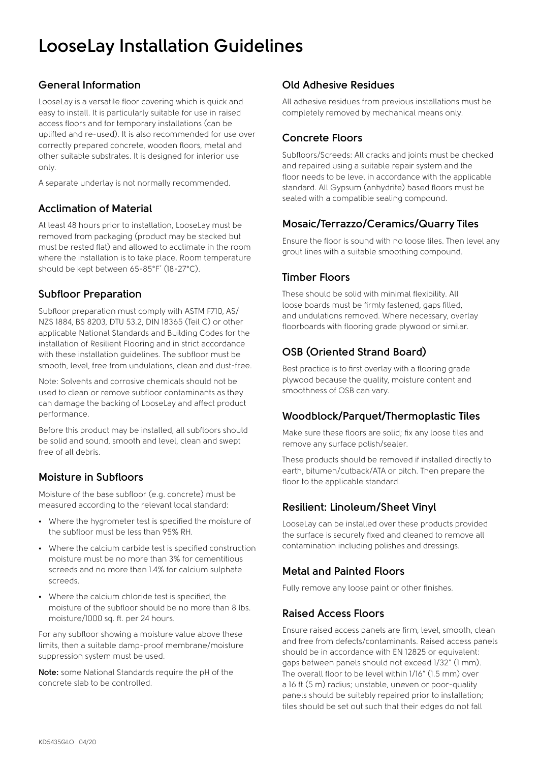# **LooseLay Installation Guidelines**

# **General Information**

LooseLay is a versatile floor covering which is quick and easy to install. It is particularly suitable for use in raised access floors and for temporary installations (can be uplifted and re-used). It is also recommended for use over correctly prepared concrete, wooden floors, metal and other suitable substrates. It is designed for interior use only.

A separate underlay is not normally recommended.

## **Acclimation of Material**

At least 48 hours prior to installation, LooseLay must be removed from packaging (product may be stacked but must be rested flat) and allowed to acclimate in the room where the installation is to take place. Room temperature should be kept between 65-85°F\* (18-27°C).

## **Subfloor Preparation**

Subfloor preparation must comply with ASTM F710, AS/ NZS 1884, BS 8203, DTU 53.2, DIN 18365 (Teil C) or other applicable National Standards and Building Codes for the installation of Resilient Flooring and in strict accordance with these installation guidelines. The subfloor must be smooth, level, free from undulations, clean and dust-free.

Note: Solvents and corrosive chemicals should not be used to clean or remove subfloor contaminants as they can damage the backing of LooseLay and affect product performance.

Before this product may be installed, all subfloors should be solid and sound, smooth and level, clean and swept free of all debris.

## **Moisture in Subfloors**

Moisture of the base subfloor (e.g. concrete) must be measured according to the relevant local standard:

- Where the hygrometer test is specified the moisture of the subfloor must be less than 95% RH.
- Where the calcium carbide test is specified construction moisture must be no more than 3% for cementitious screeds and no more than 1.4% for calcium sulphate screeds.
- Where the calcium chloride test is specified, the moisture of the subfloor should be no more than 8 lbs. moisture/1000 sq. ft. per 24 hours.

For any subfloor showing a moisture value above these limits, then a suitable damp-proof membrane/moisture suppression system must be used.

**Note:** some National Standards require the pH of the concrete slab to be controlled.

# **Old Adhesive Residues**

All adhesive residues from previous installations must be completely removed by mechanical means only.

# **Concrete Floors**

Subfloors/Screeds: All cracks and joints must be checked and repaired using a suitable repair system and the floor needs to be level in accordance with the applicable standard. All Gypsum (anhydrite) based floors must be sealed with a compatible sealing compound.

## **Mosaic/Terrazzo/Ceramics/Quarry Tiles**

Ensure the floor is sound with no loose tiles. Then level any grout lines with a suitable smoothing compound.

## **Timber Floors**

These should be solid with minimal flexibility. All loose boards must be firmly fastened, gaps filled, and undulations removed. Where necessary, overlay floorboards with flooring grade plywood or similar.

# **OSB (Oriented Strand Board)**

Best practice is to first overlay with a flooring grade plywood because the quality, moisture content and smoothness of OSB can vary.

## **Woodblock/Parquet/Thermoplastic Tiles**

Make sure these floors are solid; fix any loose tiles and remove any surface polish/sealer.

These products should be removed if installed directly to earth, bitumen/cutback/ATA or pitch. Then prepare the floor to the applicable standard.

# **Resilient: Linoleum/Sheet Vinyl**

LooseLay can be installed over these products provided the surface is securely fixed and cleaned to remove all contamination including polishes and dressings.

## **Metal and Painted Floors**

Fully remove any loose paint or other finishes.

# **Raised Access Floors**

Ensure raised access panels are firm, level, smooth, clean and free from defects/contaminants. Raised access panels should be in accordance with EN 12825 or equivalent: gaps between panels should not exceed 1/32" (1 mm). The overall floor to be level within 1/16" (1.5 mm) over a 16 ft (5 m) radius; unstable, uneven or poor-quality panels should be suitably repaired prior to installation; tiles should be set out such that their edges do not fall